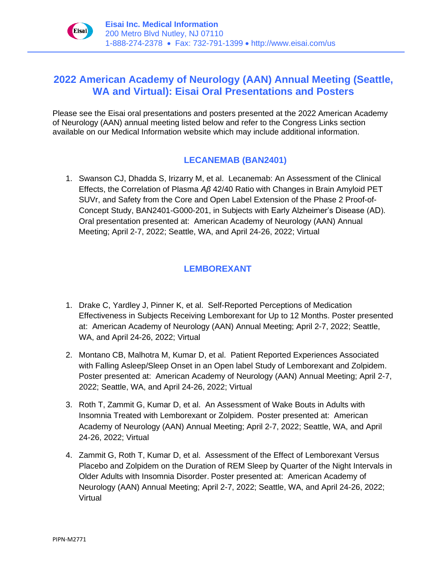

# **2022 American Academy of Neurology (AAN) Annual Meeting (Seattle, WA and Virtual): Eisai Oral Presentations and Posters**

Please see the Eisai oral presentations and posters presented at the 2022 American Academy of Neurology (AAN) annual meeting listed below and refer to the Congress Links section available on our Medical Information website which may include additional information.

### **LECANEMAB (BAN2401)**

1. Swanson CJ, Dhadda S, Irizarry M, et al. Lecanemab: An Assessment of the Clinical Effects, the Correlation of Plasma *Aβ* 42/40 Ratio with Changes in Brain Amyloid PET SUVr, and Safety from the Core and Open Label Extension of the Phase 2 Proof-of-Concept Study, BAN2401-G000-201, in Subjects with Early Alzheimer's Disease (AD). Oral presentation presented at: American Academy of Neurology (AAN) Annual Meeting; April 2-7, 2022; Seattle, WA, and April 24-26, 2022; Virtual

## **LEMBOREXANT**

- 1. Drake C, Yardley J, Pinner K, et al. Self-Reported Perceptions of Medication Effectiveness in Subjects Receiving Lemborexant for Up to 12 Months. Poster presented at: American Academy of Neurology (AAN) Annual Meeting; April 2-7, 2022; Seattle, WA, and April 24-26, 2022; Virtual
- 2. Montano CB, Malhotra M, Kumar D, et al. Patient Reported Experiences Associated with Falling Asleep/Sleep Onset in an Open label Study of Lemborexant and Zolpidem. Poster presented at: American Academy of Neurology (AAN) Annual Meeting; April 2-7, 2022; Seattle, WA, and April 24-26, 2022; Virtual
- 3. Roth T, Zammit G, Kumar D, et al. An Assessment of Wake Bouts in Adults with Insomnia Treated with Lemborexant or Zolpidem. Poster presented at: American Academy of Neurology (AAN) Annual Meeting; April 2-7, 2022; Seattle, WA, and April 24-26, 2022; Virtual
- 4. Zammit G, Roth T, Kumar D, et al. Assessment of the Effect of Lemborexant Versus Placebo and Zolpidem on the Duration of REM Sleep by Quarter of the Night Intervals in Older Adults with Insomnia Disorder. Poster presented at: American Academy of Neurology (AAN) Annual Meeting; April 2-7, 2022; Seattle, WA, and April 24-26, 2022; Virtual